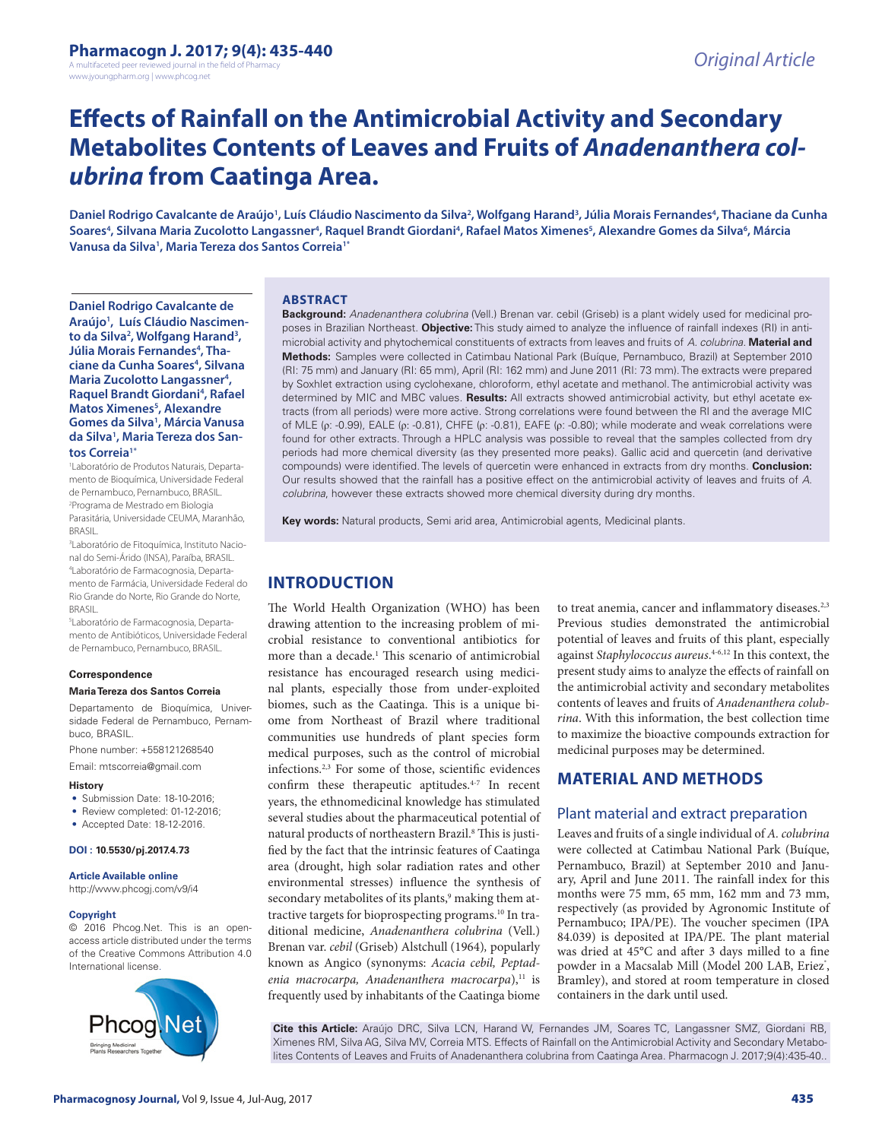A multifaceted peer reviewed journal in the field of Pharm www.jyoungpharm.org | www.phcog.net

# **Effects of Rainfall on the Antimicrobial Activity and Secondary Metabolites Contents of Leaves and Fruits of** *Anadenanthera colubrina* **from Caatinga Area.**

Daniel Rodrigo Cavalcante de Araújo<sup>1</sup>, Luís Cláudio Nascimento da Silva<sup>2</sup>, Wolfgang Harand<sup>3</sup>, Júlia Morais Fernandes<sup>4</sup>, Thaciane da Cunha Soares<sup>4</sup>, Silvana Maria Zucolotto Langassner<sup>4</sup>, Raquel Brandt Giordani<sup>4</sup>, Rafael Matos Ximenes<sup>5</sup>, Alexandre Gomes da Silva<sup>6</sup>, Márcia **Vanusa da Silva1 , Maria Tereza dos Santos Correia1\***

**Daniel Rodrigo Cavalcante de Araújo1 , Luís Cláudio Nascimento da Silva2 , Wolfgang Harand3 ,**  Júlia Morais Fernandes<sup>4</sup>, Tha**ciane da Cunha Soares4 , Silvana Maria Zucolotto Langassner4 , Raquel Brandt Giordani<sup>4</sup>, Rafael Matos Ximenes5 , Alexandre Gomes da Silva1 , Márcia Vanusa da Silva1 , Maria Tereza dos Santos Correia1\***

1 Laboratório de Produtos Naturais, Departamento de Bioquímica, Universidade Federal de Pernambuco, Pernambuco, BRASIL. 2 Programa de Mestrado em Biologia Parasitária, Universidade CEUMA, Maranhão, BRASIL.

3 Laboratório de Fitoquímica, Instituto Nacional do Semi-Árido (INSA), Paraíba, BRASIL. 4 Laboratório de Farmacognosia, Departamento de Farmácia, Universidade Federal do Rio Grande do Norte, Rio Grande do Norte, BRASIL.

5 Laboratório de Farmacognosia, Departamento de Antibióticos, Universidade Federal de Pernambuco, Pernambuco, BRASIL.

#### **Correspondence**

#### **Maria Tereza dos Santos Correia**

Departamento de Bioquímica, Universidade Federal de Pernambuco, Pernambuco, BRASIL.

Phone number: +558121268540

Email: mtscorreia@gmail.com

#### **History**

- Submission Date: 18-10-2016;
- Review completed: 01-12-2016:
- Accepted Date: 18-12-2016.

#### **DOI : 10.5530/pj.2017.4.73**

#### **Article Available online**

http://www.phcogj.com/v9/i4

#### **Copyright**

© 2016 Phcog.Net. This is an openaccess article distributed under the terms of the Creative Commons Attribution 4.0 International license.



#### **ABSTRACT**

**Background:** *Anadenanthera colubrina* (Vell.) Brenan var. cebil (Griseb) is a plant widely used for medicinal proposes in Brazilian Northeast. **Objective:** This study aimed to analyze the influence of rainfall indexes (RI) in antimicrobial activity and phytochemical constituents of extracts from leaves and fruits of *A. colubrina.* **Material and Methods:** Samples were collected in Catimbau National Park (Buíque, Pernambuco, Brazil) at September 2010 (RI: 75 mm) and January (RI: 65 mm), April (RI: 162 mm) and June 2011 (RI: 73 mm). The extracts were prepared by Soxhlet extraction using cyclohexane, chloroform, ethyl acetate and methanol. The antimicrobial activity was determined by MIC and MBC values. **Results:** All extracts showed antimicrobial activity, but ethyl acetate extracts (from all periods) were more active. Strong correlations were found between the RI and the average MIC of MLE (ρ: -0.99), EALE (ρ: -0.81), CHFE (ρ: -0.81), EAFE (ρ: -0.80); while moderate and weak correlations were found for other extracts. Through a HPLC analysis was possible to reveal that the samples collected from dry periods had more chemical diversity (as they presented more peaks). Gallic acid and quercetin (and derivative compounds) were identified. The levels of quercetin were enhanced in extracts from dry months. **Conclusion:** Our results showed that the rainfall has a positive effect on the antimicrobial activity of leaves and fruits of *A. colubrina*, however these extracts showed more chemical diversity during dry months.

**Key words:** Natural products, Semi arid area, Antimicrobial agents, Medicinal plants.

## **INTRODUCTION**

The World Health Organization (WHO) has been drawing attention to the increasing problem of microbial resistance to conventional antibiotics for more than a decade.<sup>1</sup> This scenario of antimicrobial resistance has encouraged research using medicinal plants, especially those from under-exploited biomes, such as the Caatinga. This is a unique biome from Northeast of Brazil where traditional communities use hundreds of plant species form medical purposes, such as the control of microbial infections.2,3 For some of those, scientific evidences confirm these therapeutic aptitudes.4-7 In recent years, the ethnomedicinal knowledge has stimulated several studies about the pharmaceutical potential of natural products of northeastern Brazil.<sup>8</sup> This is justified by the fact that the intrinsic features of Caatinga area (drought, high solar radiation rates and other environmental stresses) influence the synthesis of secondary metabolites of its plants,<sup>9</sup> making them attractive targets for bioprospecting programs.<sup>10</sup> In traditional medicine, *Anadenanthera colubrina* (Vell.) Brenan var. *cebil* (Griseb) Alstchull (1964)*,* popularly known as Angico (synonyms: *Acacia cebil, Peptad*enia macrocarpa, Anadenanthera macrocarpa),<sup>11</sup> is frequently used by inhabitants of the Caatinga biome

to treat anemia, cancer and inflammatory diseases.<sup>2,3</sup> Previous studies demonstrated the antimicrobial potential of leaves and fruits of this plant, especially against *Staphylococcus aureus*. 4-6,12 In this context, the present study aims to analyze the effects of rainfall on the antimicrobial activity and secondary metabolites contents of leaves and fruits of *Anadenanthera colubrina*. With this information, the best collection time to maximize the bioactive compounds extraction for medicinal purposes may be determined.

## **MATERIAL AND METHODS**

#### Plant material and extract preparation

Leaves and fruits of a single individual of *A. colubrina* were collected at Catimbau National Park (Buíque, Pernambuco, Brazil) at September 2010 and January, April and June 2011. The rainfall index for this months were 75 mm, 65 mm, 162 mm and 73 mm, respectively (as provided by Agronomic Institute of Pernambuco; IPA/PE). The voucher specimen (IPA 84.039) is deposited at IPA/PE. The plant material was dried at 45°C and after 3 days milled to a fine powder in a Macsalab Mill (Model 200 LAB, Eriez˚, Bramley), and stored at room temperature in closed containers in the dark until used.

**Cite this Article:** Araújo DRC, Silva LCN, Harand W, Fernandes JM, Soares TC, Langassner SMZ, Giordani RB, Ximenes RM, Silva AG, Silva MV, Correia MTS. Effects of Rainfall on the Antimicrobial Activity and Secondary Metabolites Contents of Leaves and Fruits of Anadenanthera colubrina from Caatinga Area. Pharmacogn J. 2017;9(4):435-40..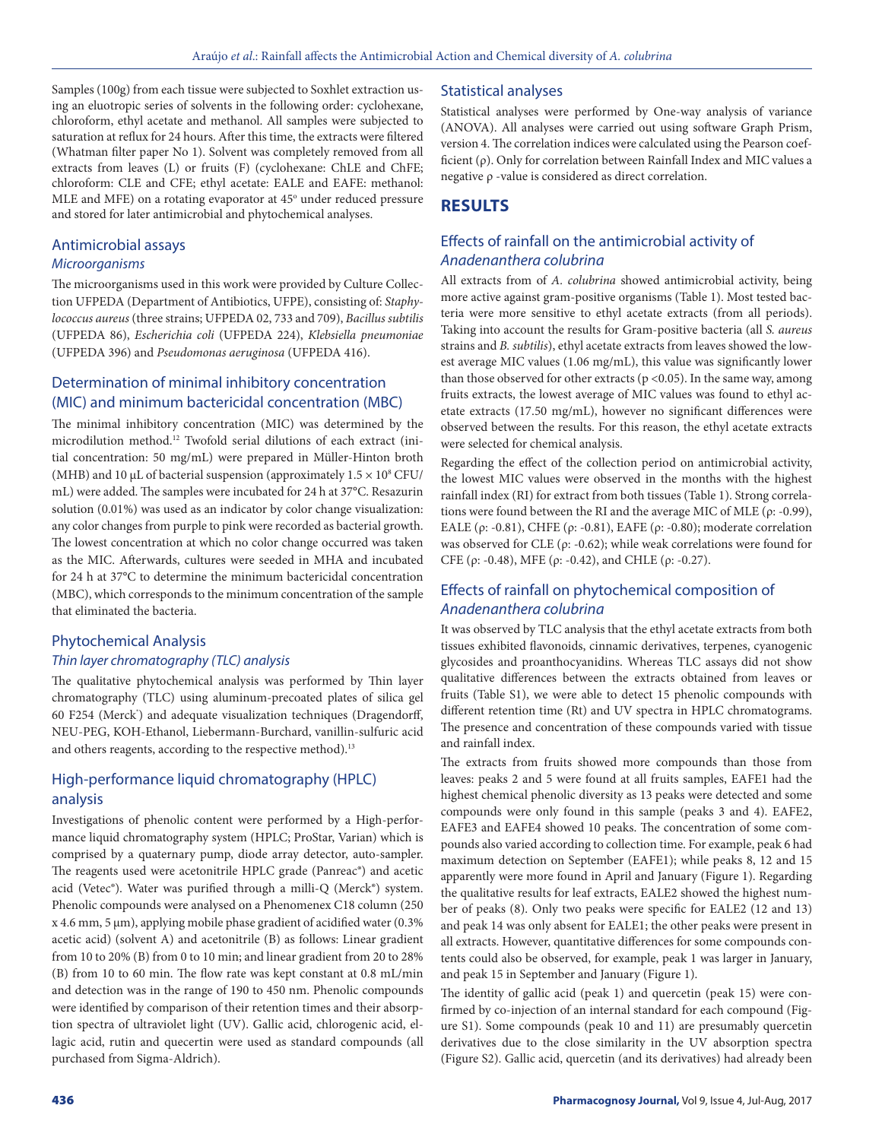Samples (100g) from each tissue were subjected to Soxhlet extraction using an eluotropic series of solvents in the following order: cyclohexane, chloroform, ethyl acetate and methanol. All samples were subjected to saturation at reflux for 24 hours. After this time, the extracts were filtered (Whatman filter paper No 1). Solvent was completely removed from all extracts from leaves (L) or fruits (F) (cyclohexane: ChLE and ChFE; chloroform: CLE and CFE; ethyl acetate: EALE and EAFE: methanol: MLE and MFE) on a rotating evaporator at 45° under reduced pressure and stored for later antimicrobial and phytochemical analyses.

## Antimicrobial assays

## *Microorganisms*

The microorganisms used in this work were provided by Culture Collection UFPEDA (Department of Antibiotics, UFPE), consisting of: *Staphylococcus aureus* (three strains; UFPEDA 02, 733 and 709), *Bacillus subtilis* (UFPEDA 86), *Escherichia coli* (UFPEDA 224), *Klebsiella pneumoniae*  (UFPEDA 396) and *Pseudomonas aeruginosa* (UFPEDA 416).

## Determination of minimal inhibitory concentration (MIC) and minimum bactericidal concentration (MBC)

The minimal inhibitory concentration (MIC) was determined by the microdilution method.12 Twofold serial dilutions of each extract (initial concentration: 50 mg/mL) were prepared in Müller-Hinton broth (MHB) and 10  $\mu$ L of bacterial suspension (approximately  $1.5 \times 10^8$  CFU/ mL) were added. The samples were incubated for 24 h at 37°C. Resazurin solution (0.01%) was used as an indicator by color change visualization: any color changes from purple to pink were recorded as bacterial growth. The lowest concentration at which no color change occurred was taken as the MIC. Afterwards, cultures were seeded in MHA and incubated for 24 h at 37°C to determine the minimum bactericidal concentration (MBC), which corresponds to the minimum concentration of the sample that eliminated the bacteria.

#### Phytochemical Analysis *Thin layer chromatography (TLC) analysis*

The qualitative phytochemical analysis was performed by Thin layer chromatography (TLC) using aluminum-precoated plates of silica gel 60 F254 (Merck') and adequate visualization techniques (Dragendorff, NEU-PEG, KOH-Ethanol, Liebermann-Burchard, vanillin-sulfuric acid and others reagents, according to the respective method).<sup>13</sup>

## High-performance liquid chromatography (HPLC) analysis

Investigations of phenolic content were performed by a High-performance liquid chromatography system (HPLC; ProStar, Varian) which is comprised by a quaternary pump, diode array detector, auto-sampler. The reagents used were acetonitrile HPLC grade (Panreac®) and acetic acid (Vetec®). Water was purified through a milli-Q (Merck®) system. Phenolic compounds were analysed on a Phenomenex C18 column (250  $x$  4.6 mm, 5  $\mu$ m), applying mobile phase gradient of acidified water (0.3%) acetic acid) (solvent A) and acetonitrile (B) as follows: Linear gradient from 10 to 20% (B) from 0 to 10 min; and linear gradient from 20 to 28% (B) from 10 to 60 min. The flow rate was kept constant at 0.8 mL/min and detection was in the range of 190 to 450 nm. Phenolic compounds were identified by comparison of their retention times and their absorption spectra of ultraviolet light (UV). Gallic acid, chlorogenic acid, ellagic acid, rutin and quecertin were used as standard compounds (all purchased from Sigma-Aldrich).

#### Statistical analyses

Statistical analyses were performed by One-way analysis of variance (ANOVA). All analyses were carried out using software Graph Prism, version 4. The correlation indices were calculated using the Pearson coefficient (ρ). Only for correlation between Rainfall Index and MIC values a negative ρ -value is considered as direct correlation.

## **RESULTS**

## Effects of rainfall on the antimicrobial activity of *Anadenanthera colubrina*

All extracts from of *A. colubrina* showed antimicrobial activity, being more active against gram-positive organisms (Table 1). Most tested bacteria were more sensitive to ethyl acetate extracts (from all periods). Taking into account the results for Gram-positive bacteria (all *S. aureus*  strains and *B. subtilis*), ethyl acetate extracts from leaves showed the lowest average MIC values (1.06 mg/mL), this value was significantly lower than those observed for other extracts ( $p$  <0.05). In the same way, among fruits extracts, the lowest average of MIC values was found to ethyl acetate extracts (17.50 mg/mL), however no significant differences were observed between the results. For this reason, the ethyl acetate extracts were selected for chemical analysis.

Regarding the effect of the collection period on antimicrobial activity, the lowest MIC values were observed in the months with the highest rainfall index (RI) for extract from both tissues (Table 1). Strong correlations were found between the RI and the average MIC of MLE ( $\rho$ : -0.99), EALE ( $ρ$ : -0.81), CHFE ( $ρ$ : -0.81), EAFE ( $ρ$ : -0.80); moderate correlation was observed for CLE ( $\rho$ : -0.62); while weak correlations were found for CFE (ρ: -0.48), MFE (ρ: -0.42), and CHLE (ρ: -0.27).

## Effects of rainfall on phytochemical composition of *Anadenanthera colubrina*

It was observed by TLC analysis that the ethyl acetate extracts from both tissues exhibited flavonoids, cinnamic derivatives, terpenes, cyanogenic glycosides and proanthocyanidins. Whereas TLC assays did not show qualitative differences between the extracts obtained from leaves or fruits (Table S1), we were able to detect 15 phenolic compounds with different retention time (Rt) and UV spectra in HPLC chromatograms. The presence and concentration of these compounds varied with tissue and rainfall index.

The extracts from fruits showed more compounds than those from leaves: peaks 2 and 5 were found at all fruits samples, EAFE1 had the highest chemical phenolic diversity as 13 peaks were detected and some compounds were only found in this sample (peaks 3 and 4). EAFE2, EAFE3 and EAFE4 showed 10 peaks. The concentration of some compounds also varied according to collection time. For example, peak 6 had maximum detection on September (EAFE1); while peaks 8, 12 and 15 apparently were more found in April and January (Figure 1). Regarding the qualitative results for leaf extracts, EALE2 showed the highest number of peaks (8). Only two peaks were specific for EALE2 (12 and 13) and peak 14 was only absent for EALE1; the other peaks were present in all extracts. However, quantitative differences for some compounds contents could also be observed, for example, peak 1 was larger in January, and peak 15 in September and January (Figure 1).

The identity of gallic acid (peak 1) and quercetin (peak 15) were confirmed by co-injection of an internal standard for each compound (Figure S1). Some compounds (peak 10 and 11) are presumably quercetin derivatives due to the close similarity in the UV absorption spectra (Figure S2). Gallic acid, quercetin (and its derivatives) had already been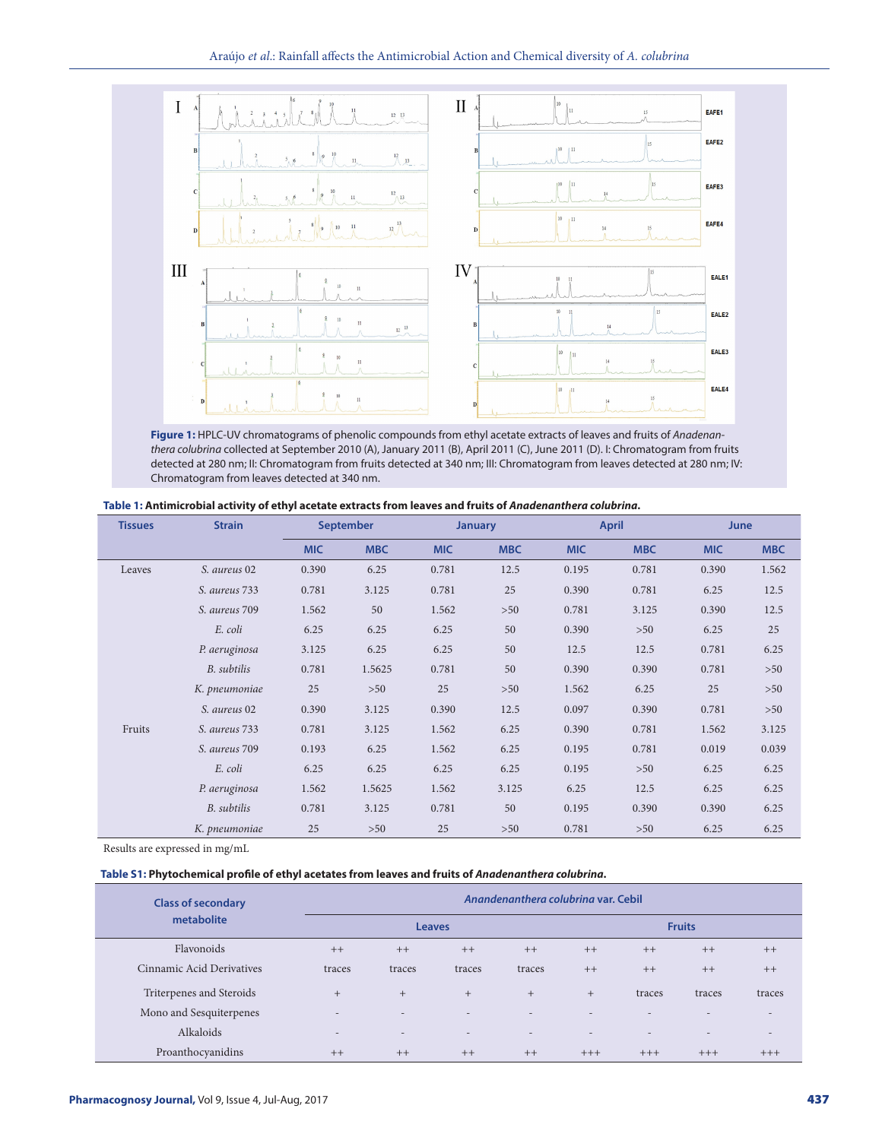#### Araújo *et al*.: Rainfall affects the Antimicrobial Action and Chemical diversity of *A. colubrina*



**Figure 1:** HPLC-UV chromatograms of phenolic compounds from ethyl acetate extracts of leaves and fruits of *Anadenanthera colubrina* collected at September 2010 (A), January 2011 (B), April 2011 (C), June 2011 (D). I: Chromatogram from fruits detected at 280 nm; II: Chromatogram from fruits detected at 340 nm; III: Chromatogram from leaves detected at 280 nm; IV: Chromatogram from leaves detected at 340 nm.

| <b>Tissues</b> | <b>Strain</b> | <b>September</b> |            | <b>January</b> |            | <b>April</b> |            | <b>June</b> |            |
|----------------|---------------|------------------|------------|----------------|------------|--------------|------------|-------------|------------|
|                |               | <b>MIC</b>       | <b>MBC</b> | <b>MIC</b>     | <b>MBC</b> | <b>MIC</b>   | <b>MBC</b> | <b>MIC</b>  | <b>MBC</b> |
| Leaves         | S. aureus 02  | 0.390            | 6.25       | 0.781          | 12.5       | 0.195        | 0.781      | 0.390       | 1.562      |
|                | S. aureus 733 | 0.781            | 3.125      | 0.781          | 25         | 0.390        | 0.781      | 6.25        | 12.5       |
|                | S. aureus 709 | 1.562            | 50         | 1.562          | $>50$      | 0.781        | 3.125      | 0.390       | 12.5       |
|                | E. coli       | 6.25             | 6.25       | 6.25           | 50         | 0.390        | >50        | 6.25        | 25         |
|                | P. aeruginosa | 3.125            | 6.25       | 6.25           | 50         | 12.5         | 12.5       | 0.781       | 6.25       |
|                | B. subtilis   | 0.781            | 1.5625     | 0.781          | 50         | 0.390        | 0.390      | 0.781       | >50        |
|                | K. pneumoniae | 25               | $>50$      | 25             | $>50$      | 1.562        | 6.25       | 25          | >50        |
|                | S. aureus 02  | 0.390            | 3.125      | 0.390          | 12.5       | 0.097        | 0.390      | 0.781       | >50        |
| Fruits         | S. aureus 733 | 0.781            | 3.125      | 1.562          | 6.25       | 0.390        | 0.781      | 1.562       | 3.125      |
|                | S. aureus 709 | 0.193            | 6.25       | 1.562          | 6.25       | 0.195        | 0.781      | 0.019       | 0.039      |
|                | E. coli       | 6.25             | 6.25       | 6.25           | 6.25       | 0.195        | >50        | 6.25        | 6.25       |
|                | P. aeruginosa | 1.562            | 1.5625     | 1.562          | 3.125      | 6.25         | 12.5       | 6.25        | 6.25       |
|                | B. subtilis   | 0.781            | 3.125      | 0.781          | 50         | 0.195        | 0.390      | 0.390       | 6.25       |
|                | K. pneumoniae | 25               | $>50$      | 25             | $>50$      | 0.781        | >50        | 6.25        | 6.25       |

Results are expressed in mg/mL

#### **Table S1: Phytochemical profile of ethyl acetates from leaves and fruits of** *Anadenanthera colubrina***.**

| <b>Class of secondary</b> | Anandenanthera colubrina var. Cebil |                          |                          |                          |                          |                          |                          |                          |  |  |
|---------------------------|-------------------------------------|--------------------------|--------------------------|--------------------------|--------------------------|--------------------------|--------------------------|--------------------------|--|--|
| metabolite                |                                     | <b>Fruits</b>            |                          |                          |                          |                          |                          |                          |  |  |
| Flavonoids                | $++$                                | $++$                     | $++$                     | $++$                     | $++$                     | $++$                     | $++$                     | $++$                     |  |  |
| Cinnamic Acid Derivatives | traces                              | traces                   | traces                   | traces                   | $++$                     | $++$                     | $++$                     | $++$                     |  |  |
| Triterpenes and Steroids  | $+$                                 | $+$                      | $+$                      | $+$                      | $+$                      | traces                   | traces                   | traces                   |  |  |
| Mono and Sesquiterpenes   | $\overline{a}$                      | -                        | $\overline{\phantom{a}}$ | $\overline{\phantom{a}}$ | $\overline{\phantom{a}}$ |                          | $\overline{\phantom{0}}$ | $\overline{\phantom{a}}$ |  |  |
| Alkaloids                 | $\overline{a}$                      | $\overline{\phantom{a}}$ | $\overline{\phantom{a}}$ | $\overline{\phantom{a}}$ | $\overline{\phantom{a}}$ | $\overline{\phantom{a}}$ | $\sim$                   | $\overline{\phantom{a}}$ |  |  |
| Proanthocyanidins         | $++$                                | $++$                     | $++$                     | $++$                     | $+++$                    | $+++$                    | $+++$                    | $+++$                    |  |  |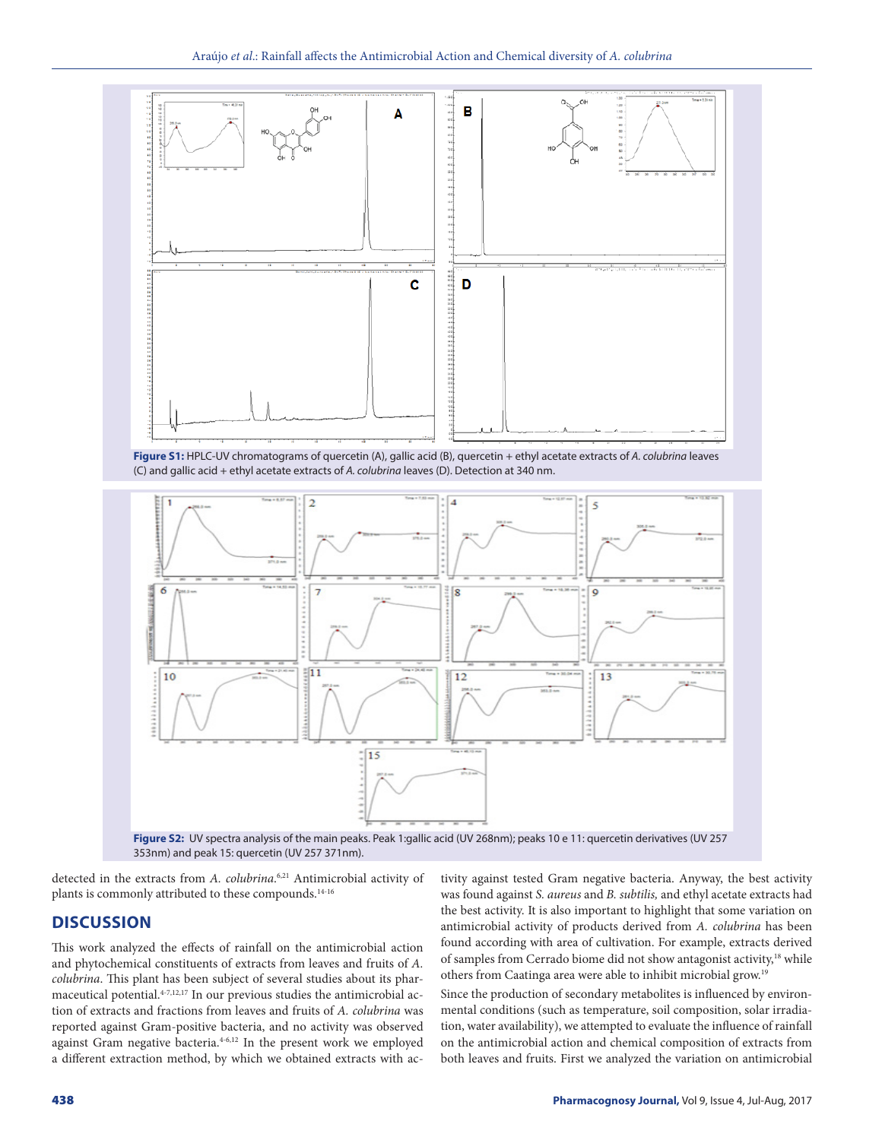

**Figure S1:** HPLC-UV chromatograms of quercetin (A), gallic acid (B), quercetin + ethyl acetate extracts of *A. colubrina* leaves (C) and gallic acid + ethyl acetate extracts of *A. colubrina* leaves (D). Detection at 340 nm.



**Figure S2:** UV spectra analysis of the main peaks. Peak 1:gallic acid (UV 268nm); peaks 10 e 11: quercetin derivatives (UV 257 353nm) and peak 15: quercetin (UV 257 371nm).

detected in the extracts from *A. colubrina*.<sup>6,21</sup> Antimicrobial activity of plants is commonly attributed to these compounds.<sup>14-16</sup>

## **DISCUSSION**

This work analyzed the effects of rainfall on the antimicrobial action and phytochemical constituents of extracts from leaves and fruits of *A. colubrina*. This plant has been subject of several studies about its pharmaceutical potential.<sup>4-7,12,17</sup> In our previous studies the antimicrobial action of extracts and fractions from leaves and fruits of *A. colubrina* was reported against Gram-positive bacteria, and no activity was observed against Gram negative bacteria.<sup>4-6,12</sup> In the present work we employed a different extraction method, by which we obtained extracts with activity against tested Gram negative bacteria. Anyway, the best activity was found against *S. aureus* and *B. subtilis,* and ethyl acetate extracts had the best activity. It is also important to highlight that some variation on antimicrobial activity of products derived from *A. colubrina* has been found according with area of cultivation. For example, extracts derived of samples from Cerrado biome did not show antagonist activity,<sup>18</sup> while others from Caatinga area were able to inhibit microbial grow.19

Since the production of secondary metabolites is influenced by environmental conditions (such as temperature, soil composition, solar irradiation, water availability), we attempted to evaluate the influence of rainfall on the antimicrobial action and chemical composition of extracts from both leaves and fruits. First we analyzed the variation on antimicrobial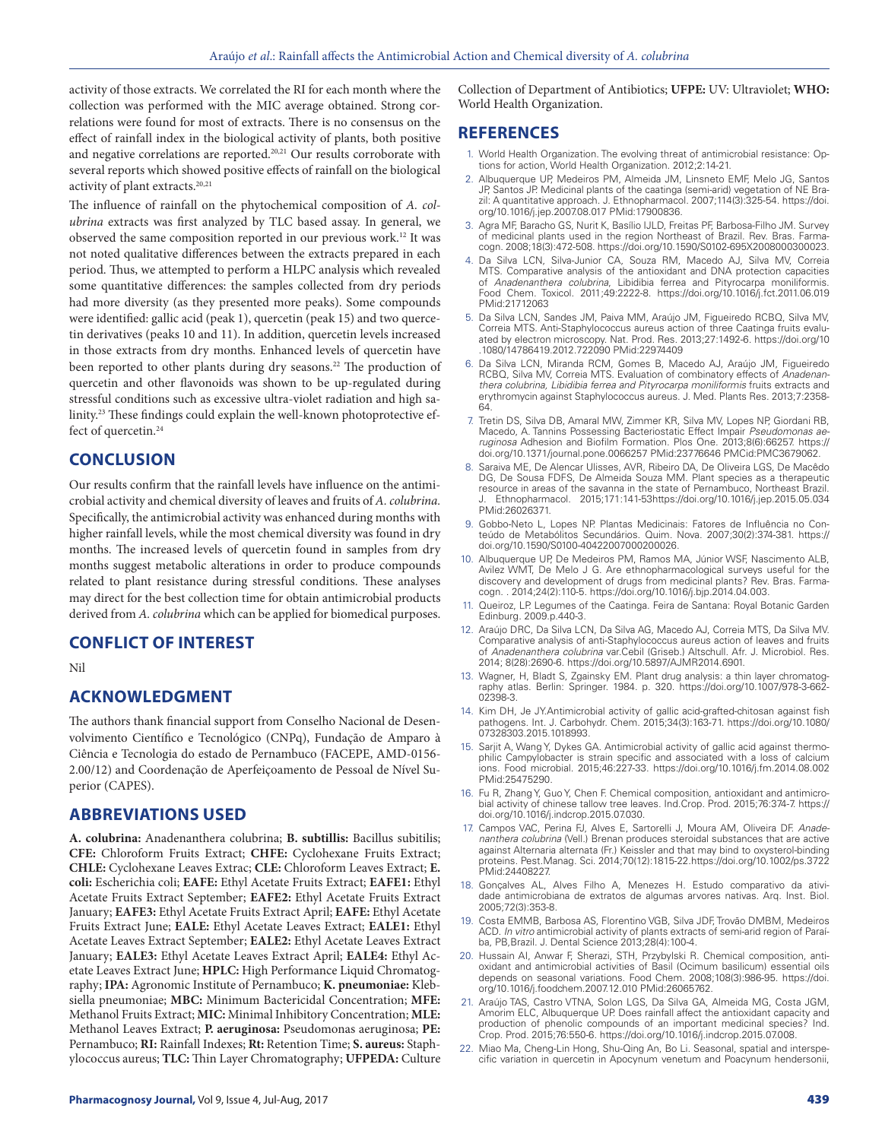activity of those extracts. We correlated the RI for each month where the collection was performed with the MIC average obtained. Strong correlations were found for most of extracts. There is no consensus on the effect of rainfall index in the biological activity of plants, both positive and negative correlations are reported.<sup>20,21</sup> Our results corroborate with several reports which showed positive effects of rainfall on the biological activity of plant extracts.<sup>20,21</sup>

The influence of rainfall on the phytochemical composition of *A. colubrina* extracts was first analyzed by TLC based assay. In general, we observed the same composition reported in our previous work.12 It was not noted qualitative differences between the extracts prepared in each period. Thus, we attempted to perform a HLPC analysis which revealed some quantitative differences: the samples collected from dry periods had more diversity (as they presented more peaks). Some compounds were identified: gallic acid (peak 1), quercetin (peak 15) and two quercetin derivatives (peaks 10 and 11). In addition, quercetin levels increased in those extracts from dry months. Enhanced levels of quercetin have been reported to other plants during dry seasons.<sup>22</sup> The production of quercetin and other flavonoids was shown to be up-regulated during stressful conditions such as excessive ultra-violet radiation and high salinity.23 These findings could explain the well-known photoprotective effect of quercetin.<sup>24</sup>

#### **CONCLUSION**

Our results confirm that the rainfall levels have influence on the antimicrobial activity and chemical diversity of leaves and fruits of *A. colubrina.*  Specifically, the antimicrobial activity was enhanced during months with higher rainfall levels, while the most chemical diversity was found in dry months. The increased levels of quercetin found in samples from dry months suggest metabolic alterations in order to produce compounds related to plant resistance during stressful conditions. These analyses may direct for the best collection time for obtain antimicrobial products derived from *A. colubrina* which can be applied for biomedical purposes.

#### **CONFLICT OF INTEREST**

Nil

#### **ACKNOWLEDGMENT**

The authors thank financial support from Conselho Nacional de Desenvolvimento Científico e Tecnológico (CNPq), Fundação de Amparo à Ciência e Tecnologia do estado de Pernambuco (FACEPE, AMD-0156- 2.00/12) and Coordenação de Aperfeiçoamento de Pessoal de Nível Superior (CAPES).

## **ABBREVIATIONS USED**

**A. colubrina:** Anadenanthera colubrina; **B. subtillis:** Bacillus subitilis; **CFE:** Chloroform Fruits Extract; **CHFE:** Cyclohexane Fruits Extract; **CHLE:** Cyclohexane Leaves Extrac; **CLE:** Chloroform Leaves Extract; **E. coli:** Escherichia coli; **EAFE:** Ethyl Acetate Fruits Extract; **EAFE1:** Ethyl Acetate Fruits Extract September; **EAFE2:** Ethyl Acetate Fruits Extract January; **EAFE3:** Ethyl Acetate Fruits Extract April; **EAFE:** Ethyl Acetate Fruits Extract June; **EALE:** Ethyl Acetate Leaves Extract; **EALE1:** Ethyl Acetate Leaves Extract September; **EALE2:** Ethyl Acetate Leaves Extract January; **EALE3:** Ethyl Acetate Leaves Extract April; **EALE4:** Ethyl Acetate Leaves Extract June; **HPLC:** High Performance Liquid Chromatography; **IPA:** Agronomic Institute of Pernambuco; **K. pneumoniae:** Klebsiella pneumoniae; **MBC:** Minimum Bactericidal Concentration; **MFE:** Methanol Fruits Extract; **MIC:** Minimal Inhibitory Concentration; **MLE:** Methanol Leaves Extract; **P. aeruginosa:** Pseudomonas aeruginosa; **PE:**  Pernambuco; **RI:** Rainfall Indexes; **Rt:** Retention Time; **S. aureus:** Staphylococcus aureus; **TLC:** Thin Layer Chromatography; **UFPEDA:** Culture

Collection of Department of Antibiotics; **UFPE:** UV: Ultraviolet; **WHO:** World Health Organization.

#### **REFERENCES**

- 1. World Health Organization. The evolving threat of antimicrobial resistance: Options for action, World Health Organization. 2012;2:14-21.
- 2. Albuquerque UP, Medeiros PM, Almeida JM, Linsneto EMF, Melo JG, Santos JP, Santos JP. Medicinal plants of the caatinga (semi-arid) vegetation of NE Brazil: A quantitative approach. J. Ethnopharmacol. 2007;114(3):325-54. https://doi. org/10.1016/j.jep.2007.08.017 PMid:17900836.
- 3. Agra MF, Baracho GS, Nurit K, Basílio IJLD, Freitas PF, Barbosa-Filho JM. Survey of medicinal plants used in the region Northeast of Brazil. Rev. Bras. Farmacogn. 2008;18(3):472-508. https://doi.org/10.1590/S0102-695X2008000300023.
- 4. Da Silva LCN, Silva-Junior CA, Souza RM, Macedo AJ, Silva MV, Correia MTS. Comparative analysis of the antioxidant and DNA protection capacities of *Anadenanthera colubrina*, Libidibia ferrea and Pityrocarpa moniliformis. Food Chem. Toxicol. 2011;49:2222-8. https://doi.org/10.1016/j.fct.2011.06.019 PMid:21712063
- 5. Da Silva LCN, Sandes JM, Paiva MM, Araújo JM, Figueiredo RCBQ, Silva MV, Correia MTS. Anti-Staphylococcus aureus action of three Caatinga fruits evalu-ated by electron microscopy. Nat. Prod. Res. 2013;27:1492-6. https://doi.org/10 .1080/14786419.2012.722090 PMid:22974409
- 6. Da Silva LCN, Miranda RCM, Gomes B, Macedo AJ, Araújo JM, Figueiredo RCBQ, Silva MV, Correia MTS. Evaluation of combinatory effects of *Anadenanthera colubrina, Libidibia ferrea and Pityrocarpa moniliformis* fruits extracts and erythromycin against Staphylococcus aureus. J. Med. Plants Res. 2013;7:2358- 64.
- 7. Tretin DS, Silva DB, Amaral MW, Zimmer KR, Silva MV, Lopes NP, Giordani RB, Macedo, A. Tannins Possessing Bacteriostatic Effect Impair *Pseudomonas aeruginosa* Adhesion and Biofilm Formation. Plos One. 2013;8(6):66257. https:// doi.org/10.1371/journal.pone.0066257 PMid:23776646 PMCid:PMC3679062.
- 8. Saraiva ME, De Alencar Ulisses, AVR, Ribeiro DA, De Oliveira LGS, De Macêdo DG, De Sousa FDFS, De Almeida Souza MM. Plant species as a therapeutic resource in areas of the savanna in the state of Pernambuco, Northeast Brazil. J. Ethnopharmacol. 2015;171:141-53https://doi.org/10.1016/j.jep.2015.05.034 PMid:26026371.
- 9. Gobbo-Neto L, Lopes NP. Plantas Medicinais: Fatores de Influência no Conteúdo de Metabólitos Secundários. Quim. Nova. 2007;30(2):374-381. https:// doi.org/10.1590/S0100-40422007000200026.
- 10. Albuquerque UP, De Medeiros PM, Ramos MA, Júnior WSF, Nascimento ALB, Avilez WMT, De Melo J G. Are ethnopharmacological surveys useful for the discovery and development of drugs from medicinal plants? Rev. Bras. Farmacogn. . 2014;24(2):110-5. https://doi.org/10.1016/j.bjp.2014.04.003.
- 11. Queiroz, LP. Legumes of the Caatinga. Feira de Santana: Royal Botanic Garden Edinburg. 2009.p.440-3.
- 12. Araújo DRC, Da Silva LCN, Da Silva AG, Macedo AJ, Correia MTS, Da Silva MV. Comparative analysis of anti-Staphylococcus aureus action of leaves and fruits of *Anadenanthera colubrina* var.Cebil (Griseb.) Altschull. Afr. J. Microbiol. Res. 2014; 8(28):2690-6. https://doi.org/10.5897/AJMR2014.6901.
- 13. Wagner, H, Bladt S, Zgainsky EM. Plant drug analysis: a thin layer chromatography atlas. Berlin: Springer. 1984. p. 320. https://doi.org/10.1007/978-3-662- 02398-3.
- 14. Kim DH, Je JY.Antimicrobial activity of gallic acid-grafted-chitosan against fish pathogens. Int. J. Carbohydr. Chem. 2015;34(3):163-71. https://doi.org/10.1080/ 07328303.2015.1018993.
- 15. Sarjit A, Wang Y, Dykes GA. Antimicrobial activity of gallic acid against thermophilic Campylobacter is strain specific and associated with a loss of calcium ions. Food microbial. 2015;46:227-33. https://doi.org/10.1016/j.fm.2014.08.002 PMid:25475290.
- 16. Fu R, Zhang Y, Guo Y, Chen F. Chemical composition, antioxidant and antimicrobial activity of chinese tallow tree leaves. Ind.Crop. Prod. 2015;76:374-7. https:// doi.org/10.1016/j.indcrop.2015.07.030.
- 17. Campos VAC, Perina FJ, Alves E, Sartorelli J, Moura AM, Oliveira DF. *Anadenanthera colubrina* (Vell.) Brenan produces steroidal substances that are active against Alternaria alternata (Fr.) Keissler and that may bind to oxysterol-binding proteins. Pest.Manag. Sci. 2014;70(12):1815-22.https://doi.org/10.1002/ps.3722 PMid:24408227.
- 18. Gonçalves AL, Alves Filho A, Menezes H. Estudo comparativo da atividade antimicrobiana de extratos de algumas arvores nativas. Arq. Inst. Biol. 2005;72(3):353-8.
- 19. Costa EMMB, Barbosa AS, Florentino VGB, Silva JDF, Trovão DMBM, Medeiros ACD. *In vitro* antimicrobial activity of plants extracts of semi-arid region of Paraíba, PB,Brazil. J. Dental Science 2013;28(4):100-4.
- 20. Hussain AI, Anwar F, Sherazi, STH, Przybylski R. Chemical composition, antioxidant and antimicrobial activities of Basil (Ocimum basilicum) essential oils depends on seasonal variations. Food Chem. 2008;108(3):986-95. https://doi. org/10.1016/j.foodchem.2007.12.010 PMid:26065762.
- 21. Araújo TAS, Castro VTNA, Solon LGS, Da Silva GA, Almeida MG, Costa JGM, Amorim ELC, Albuquerque UP. Does rainfall affect the antioxidant capacity and production of phenolic compounds of an important medicinal species? Ind. Crop. Prod. 2015;76:550-6. https://doi.org/10.1016/j.indcrop.2015.07.008.
- 22. Miao Ma, Cheng-Lin Hong, Shu-Qing An, Bo Li. Seasonal, spatial and interspecific variation in quercetin in Apocynum venetum and Poacynum hendersonii,